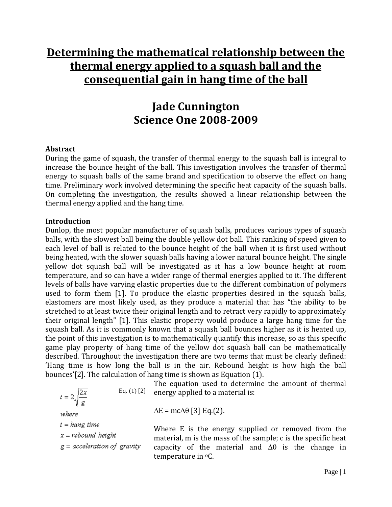# **Determining the mathematical relationship between the thermal energy applied to a squash ball and the consequential gain in hang time of the ball**

# **Jade Cunnington Science One 2008-2009**

#### **Abstract**

During the game of squash, the transfer of thermal energy to the squash ball is integral to increase the bounce height of the ball. This investigation involves the transfer of thermal energy to squash balls of the same brand and specification to observe the effect on hang time. Preliminary work involved determining the specific heat capacity of the squash balls. On completing the investigation, the results showed a linear relationship between the thermal energy applied and the hang time.

#### **Introduction**

Dunlop, the most popular manufacturer of squash balls, produces various types of squash balls, with the slowest ball being the double yellow dot ball. This ranking of speed given to each level of ball is related to the bounce height of the ball when it is first used without being heated, with the slower squash balls having a lower natural bounce height. The single yellow dot squash ball will be investigated as it has a low bounce height at room temperature, and so can have a wider range of thermal energies applied to it. The different levels of balls have varying elastic properties due to the different combination of polymers used to form them [1]. To produce the elastic properties desired in the squash balls, elastomers are most likely used, as they produce a material that has "the ability to be stretched to at least twice their original length and to retract very rapidly to approximately their original length" [1]. This elastic property would produce a large hang time for the squash ball. As it is commonly known that a squash ball bounces higher as it is heated up, the point of this investigation is to mathematically quantify this increase, so as this specific game play property of hang time of the yellow dot squash ball can be mathematically described. Throughout the investigation there are two terms that must be clearly defined: 'Hang time is how long the ball is in the air. Rebound height is how high the ball bounces'[2]. The calculation of hang time is shown as Equation (1).

$$
t = 2\sqrt{\frac{2x}{g}}
$$
 Eq. (1) [2] en  
where  

$$
t = hang time
$$
  

$$
x = rebound height
$$

The equation used to determine the amount of thermal ergy applied to a material is:

 $E = mc\Delta\theta$  [3] Eq.(2).

here E is the energy supplied or removed from the aterial, m is the mass of the sample; c is the specific heat pacity of the material and  $\Delta\theta$  is the change in temperature in  ${}^{\circ}C$ .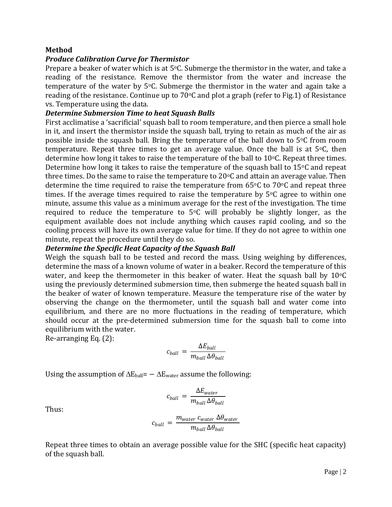#### **Method**

### *Produce Calibration Curve for Thermistor*

Prepare a beaker of water which is at  $5^{\circ}$ C. Submerge the thermistor in the water, and take a reading of the resistance. Remove the thermistor from the water and increase the temperature of the water by  $5^{\circ}$ C. Submerge the thermistor in the water and again take a reading of the resistance. Continue up to  $70^{\circ}$ C and plot a graph (refer to Fig.1) of Resistance vs. Temperature using the data.

#### *Determine Submersion Time to heat Squash Balls*

First acclimatise a 'sacrificial' squash ball to room temperature, and then pierce a small hole in it, and insert the thermistor inside the squash ball, trying to retain as much of the air as possible inside the squash ball. Bring the temperature of the ball down to  $5^{\circ}$ C from room temperature. Repeat three times to get an average value. Once the ball is at  $5^{\circ}$ C, then determine how long it takes to raise the temperature of the ball to  $10^{\circ}$ C. Repeat three times. Determine how long it takes to raise the temperature of the squash ball to  $15\degree$ C and repeat three times. Do the same to raise the temperature to  $20^{\circ}$ C and attain an average value. Then determine the time required to raise the temperature from  $65^{\circ}$ C to  $70^{\circ}$ C and repeat three times. If the average times required to raise the temperature by  $5^{\circ}$ C agree to within one minute, assume this value as a minimum average for the rest of the investigation. The time required to reduce the temperature to  $5^{\circ}$ C will probably be slightly longer, as the equipment available does not include anything which causes rapid cooling, and so the cooling process will have its own average value for time. If they do not agree to within one minute, repeat the procedure until they do so.

#### *Determine the Specific Heat Capacity of the Squash Ball*

Weigh the squash ball to be tested and record the mass. Using weighing by differences, determine the mass of a known volume of water in a beaker. Record the temperature of this water, and keep the thermometer in this beaker of water. Heat the squash ball by  $10^{\circ}C$ using the previously determined submersion time, then submerge the heated squash ball in the beaker of water of known temperature. Measure the temperature rise of the water by observing the change on the thermometer, until the squash ball and water come into equilibrium, and there are no more fluctuations in the reading of temperature, which should occur at the pre-determined submersion time for the squash ball to come into equilibrium with the water.

Re-arranging Eq. (2):

$$
c_{ball} = \frac{\Delta E_{ball}}{m_{ball} \Delta \theta_{ball}}
$$

Using the assumption of  $\Delta E_{\text{ball}} = -\Delta E_{\text{water}}$  assume the following:

$$
c_{ball} = \frac{\Delta E_{water}}{m_{ball} \Delta \theta_{ball}}
$$

Thus:

$$
c_{ball} = \frac{m_{water} c_{water} \Delta \theta_{water}}{m_{ball} \Delta \theta_{ball}}
$$

Repeat three times to obtain an average possible value for the SHC (specific heat capacity) of the squash ball.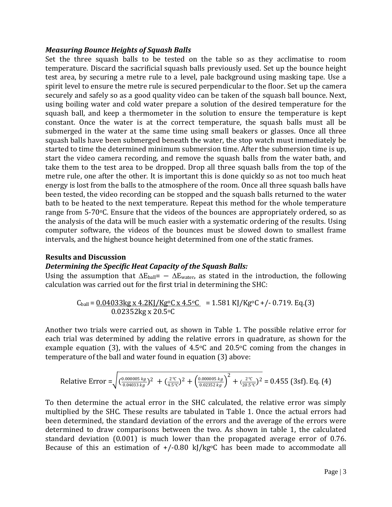#### *Measuring Bounce Heights of Squash Balls*

Set the three squash balls to be tested on the table so as they acclimatise to room temperature. Discard the sacrificial squash balls previously used. Set up the bounce height test area, by securing a metre rule to a level, pale background using masking tape. Use a spirit level to ensure the metre rule is secured perpendicular to the floor. Set up the camera securely and safely so as a good quality video can be taken of the squash ball bounce. Next, using boiling water and cold water prepare a solution of the desired temperature for the squash ball, and keep a thermometer in the solution to ensure the temperature is kept constant. Once the water is at the correct temperature, the squash balls must all be submerged in the water at the same time using small beakers or glasses. Once all three squash balls have been submerged beneath the water, the stop watch must immediately be started to time the determined minimum submersion time. After the submersion time is up, start the video camera recording, and remove the squash balls from the water bath, and take them to the test area to be dropped. Drop all three squash balls from the top of the metre rule, one after the other. It is important this is done quickly so as not too much heat energy is lost from the balls to the atmosphere of the room. Once all three squash balls have been tested, the video recording can be stopped and the squash balls returned to the water bath to be heated to the next temperature. Repeat this method for the whole temperature range from 5-70 °C. Ensure that the videos of the bounces are appropriately ordered, so as the analysis of the data will be much easier with a systematic ordering of the results. Using computer software, the videos of the bounces must be slowed down to smallest frame intervals, and the highest bounce height determined from one of the static frames.

#### **Results and Discussion**

#### *Determining the Specific Heat Capacity of the Squash Balls:*

Using the assumption that  $\Delta E_{ball} = - \Delta E_{water}$ , as stated in the introduction, the following calculation was carried out for the first trial in determining the SHC:

$$
C_{ball} = \frac{0.04033 \text{kg} \times 4.2 \text{KJ/Kg}^{\circ}\text{C} \times 4.5^{\circ}\text{C}}{0.02352 \text{kg} \times 20.5^{\circ}\text{C}} = 1.581 \text{ KJ/Kg}^{\circ}\text{C} + (-0.719. \text{Eq.}(3))
$$

Another two trials were carried out, as shown in Table 1. The possible relative error for each trial was determined by adding the relative errors in quadrature, as shown for the example equation (3), with the values of  $4.5\degree$ C and  $20.5\degree$ C coming from the changes in temperature of the ball and water found in equation (3) above:

Relative Error = 
$$
\sqrt{\left(\frac{0.000005 \, kg}{0.04033 \, kg}\right)^2 + \left(\frac{2^{\circ}C}{4.5^{\circ}C}\right)^2 + \left(\frac{0.000005 \, kg}{0.02352 \, kg}\right)^2 + \left(\frac{2^{\circ}C}{20.5^{\circ}C}\right)^2} = 0.455
$$
 (3sf). Eq. (4)

To then determine the actual error in the SHC calculated, the relative error was simply multiplied by the SHC. These results are tabulated in Table 1. Once the actual errors had been determined, the standard deviation of the errors and the average of the errors were determined to draw comparisons between the two. As shown in table 1, the calculated standard deviation (0.001) is much lower than the propagated average error of 0.76. Because of this an estimation of  $+/-0.80$  kJ/kg<sup>o</sup>C has been made to accommodate all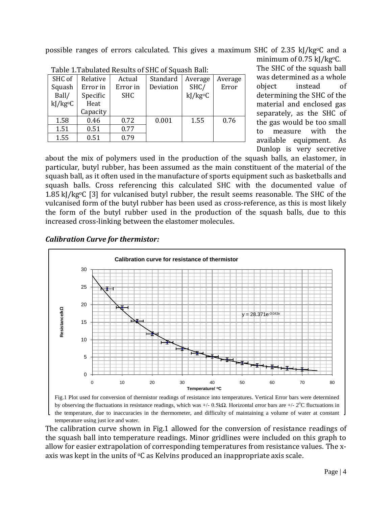possible ranges of errors calculated. This gives a maximum SHC of 2.35 kJ/kgoC and a minimum of 0.75 kJ/kg<sup>o</sup>C.

| Table 1. Fabulated Results of 511G of Squash Ball. |          |            |           |         |         |
|----------------------------------------------------|----------|------------|-----------|---------|---------|
| SHC of                                             | Relative | Actual     | Standard  | Average | Average |
| Squash                                             | Error in | Error in   | Deviation | SHC/    | Error   |
| Ball/                                              | Specific | <b>SHC</b> |           | kJ/kgoC |         |
| kJ/kg <sup>o</sup> C                               | Heat     |            |           |         |         |
|                                                    | Capacity |            |           |         |         |
| 1.58                                               | 0.46     | 0.72       | 0.001     | 1.55    | 0.76    |
| 1.51                                               | 0.51     | 0.77       |           |         |         |
| 1.55                                               | 0.51     | 0.79       |           |         |         |
|                                                    |          |            |           |         |         |

Table 1.Tabulated Results of SHC of Squash Ball:

The SHC of the squash ball was determined as a whole object instead of determining the SHC of the material and enclosed gas separately, as the SHC of the gas would be too small to measure with the available equipment. As Dunlop is very secretive

about the mix of polymers used in the production of the squash balls, an elastomer, in particular, butyl rubber, has been assumed as the main constituent of the material of the squash ball, as it often used in the manufacture of sports equipment such as basketballs and squash balls. Cross referencing this calculated SHC with the documented value of 1.85 kJ/kg $\degree$ C [3] for vulcanised butyl rubber, the result seems reasonable. The SHC of the vulcanised form of the butyl rubber has been used as cross-reference, as this is most likely the form of the butyl rubber used in the production of the squash balls, due to this increased cross-linking between the elastomer molecules.

## *Calibration Curve for thermistor:*



Fig.1 Plot used for conversion of thermistor readings of resistance into temperatures. Vertical Error bars were determined by observing the fluctuations in resistance readings, which was  $+/-$  0.5kΩ. Horizontal error bars are  $+/-$  2°C fluctuations in the temperature, due to inaccuracies in the thermometer, and difficulty of maintaining a volume of water at constant temperature using just ice and water.

The calibration curve shown in Fig.1 allowed for the conversion of resistance readings of the squash ball into temperature readings. Minor gridlines were included on this graph to allow for easier extrapolation of corresponding temperatures from resistance values. The xaxis was kept in the units of  ${}^{\circ}C$  as Kelvins produced an inappropriate axis scale.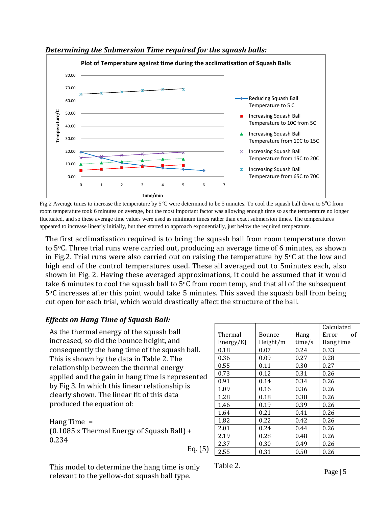

#### *Determining the Submersion Time required for the squash balls:*

Fig.2 Average times to increase the temperature by  $5^{\circ}$ C were determined to be 5 minutes. To cool the squash ball down to  $5^{\circ}$ C from room temperature took 6 minutes on average, but the most important factor was allowing enough time so as the temperature no longer fluctuated, and so these average time values were used as minimum times rather than exact submersion times. The temperatures appeared to increase linearly initially, but then started to approach exponentially, just below the required temperature.

The first acclimatisation required is to bring the squash ball from room temperature down to 5oC. Three trial runs were carried out, producing an average time of 6 minutes, as shown in Fig.2. Trial runs were also carried out on raising the temperature by  $5^{\circ}$ C at the low and high end of the control temperatures used. These all averaged out to 5minutes each, also shown in Fig. 2. Having these averaged approximations, it could be assumed that it would take 6 minutes to cool the squash ball to  $5^{\circ}$ C from room temp, and that all of the subsequent  $5^{\circ}$ C increases after this point would take 5 minutes. This saved the squash ball from being cut open for each trial, which would drastically affect the structure of the ball.

## *Effects on Hang Time of Squash Ball:*

As the thermal energy of the squash ball increased, so did the bounce height, and consequently the hang time of the squash ball. This is shown by the data in Table 2. The relationship between the thermal energy applied and the gain in hang time is represented by Fig 3. In which this linear relationship is clearly shown. The linear fit of this data produced the equation of:

Hang Time =  $(0.1085 \times \text{Thermal Energy of Squash Ball}) +$ 0.234 Eq. (5)

|           |          |        | Calculated  |  |
|-----------|----------|--------|-------------|--|
| Thermal   | Bounce   | Hang   | Error<br>οf |  |
| Energy/KJ | Height/m | time/s | Hang time   |  |
| 0.18      | 0.07     | 0.24   | 0.33        |  |
| 0.36      | 0.09     | 0.27   | 0.28        |  |
| 0.55      | 0.11     | 0.30   | 0.27        |  |
| 0.73      | 0.12     | 0.31   | 0.26        |  |
| 0.91      | 0.14     | 0.34   | 0.26        |  |
| 1.09      | 0.16     | 0.36   | 0.26        |  |
| 1.28      | 0.18     | 0.38   | 0.26        |  |
| 1.46      | 0.19     | 0.39   | 0.26        |  |
| 1.64      | 0.21     | 0.41   | 0.26        |  |
| 1.82      | 0.22     | 0.42   | 0.26        |  |
| 2.01      | 0.24     | 0.44   | 0.26        |  |
| 2.19      | 0.28     | 0.48   | 0.26        |  |
| 2.37      | 0.30     | 0.49   | 0.26        |  |
| 2.55      | 0.31     | 0.50   | 0.26        |  |

This model to determine the hang time is only relevant to the yellow-dot squash ball type.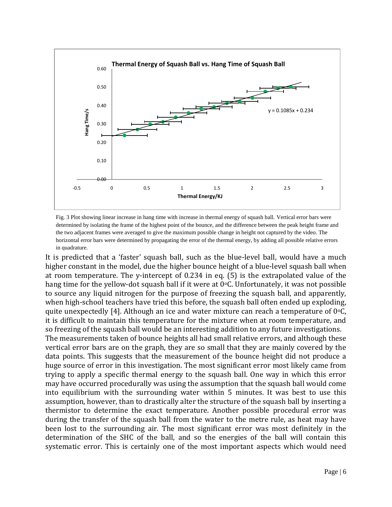

Fig. 3 Plot showing linear increase in hang time with increase in thermal energy of squash ball. Vertical error bars were determined by isolating the frame of the highest point of the bounce, and the difference between the peak height frame and the two adjacent frames were averaged to give the maximum possible change in height not captured by the video. The horizontal error bars were determined by propagating the error of the thermal energy, by adding all possible relative errors in quadrature.

It is predicted that a 'faster' squash ball, such as the blue-level ball, would have a much higher constant in the model, due the higher bounce height of a blue-level squash ball when at room temperature. The y-intercept of 0.234 in eq. (5) is the extrapolated value of the hang time for the yellow-dot squash ball if it were at  $0\degree C$ . Unfortunately, it was not possible to source any liquid nitrogen for the purpose of freezing the squash ball, and apparently, when high-school teachers have tried this before, the squash ball often ended up exploding, quite unexpectedly [4]. Although an ice and water mixture can reach a temperature of  $0^{\circ}$ C, it is difficult to maintain this temperature for the mixture when at room temperature, and so freezing of the squash ball would be an interesting addition to any future investigations. The measurements taken of bounce heights all had small relative errors, and although these vertical error bars are on the graph, they are so small that they are mainly covered by the data points. This suggests that the measurement of the bounce height did not produce a huge source of error in this investigation. The most significant error most likely came from trying to apply a specific thermal energy to the squash ball. One way in which this error may have occurred procedurally was using the assumption that the squash ball would come into equilibrium with the surrounding water within 5 minutes. It was best to use this assumption, however, than to drastically alter the structure of the squash ball by inserting a thermistor to determine the exact temperature. Another possible procedural error was during the transfer of the squash ball from the water to the metre rule, as heat may have been lost to the surrounding air. The most significant error was most definitely in the determination of the SHC of the ball, and so the energies of the ball will contain this systematic error. This is certainly one of the most important aspects which would need